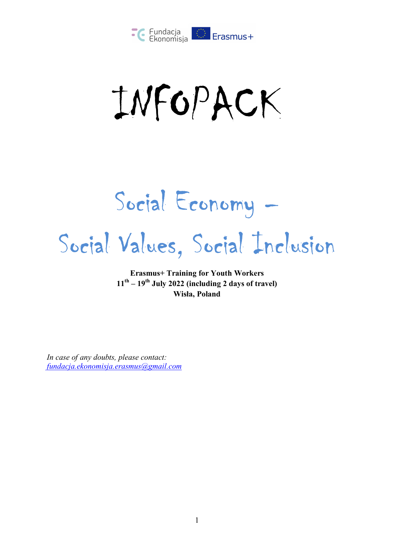

INFOPACK

Social Economy – Social Values, Social Inclusion

**Erasmus+ Training for Youth Workers 11th – 19th July 2022 (including 2 days of travel) Wisła, Poland** 

*In case of any doubts, please contact: fundacja.ekonomisja.erasmus@gmail.com*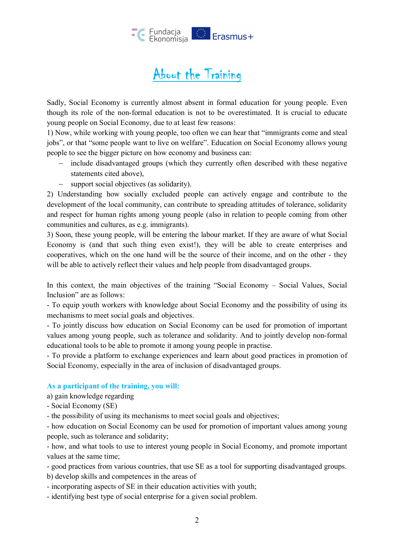

### About the Training

Sadly, Social Economy is currently almost absent in formal education for young people. Even though its role of the non-formal education is not to be overestimated. It is crucial to educate young people on Social Economy, due to at least few reasons:

1) Now, while working with young people, too often we can hear that "immigrants come and steal jobs", or that "some people want to live on welfare". Education on Social Economy allows young people to see the bigger picture on how economy and business can:

- include disadvantaged groups (which they currently often described with these negative statements cited above),
- support social objectives (as solidarity).

2) Understanding how socially excluded people can actively engage and contribute to the development of the local community, can contribute to spreading attitudes of tolerance, solidarity and respect for human rights among young people (also in relation to people coming from other communities and cultures, as e.g. immigrants).

3) Soon, these young people, will be entering the labour market. If they are aware of what Social Economy is (and that such thing even exist!), they will be able to create enterprises and cooperatives, which on the one hand will be the source of their income, and on the other - they will be able to actively reflect their values and help people from disadvantaged groups.

In this context, the main objectives of the training "Social Economy – Social Values, Social Inclusion" are as follows:

- To equip youth workers with knowledge about Social Economy and the possibility of using its mechanisms to meet social goals and objectives.

- To jointly discuss how education on Social Economy can be used for promotion of important values among young people, such as tolerance and solidarity. And to jointly develop non-formal educational tools to be able to promote it among young people in practise.

- To provide a platform to exchange experiences and learn about good practices in promotion of Social Economy, especially in the area of inclusion of disadvantaged groups.

#### **As a participant of the training, you will:**

a) gain knowledge regarding

- Social Economy (SE)
- the possibility of using its mechanisms to meet social goals and objectives;

- how education on Social Economy can be used for promotion of important values among young people, such as tolerance and solidarity;

- how, and what tools to use to interest young people in Social Economy, and promote important values at the same time;

- good practices from various countries, that use SE as a tool for supporting disadvantaged groups. b) develop skills and competences in the areas of

- incorporating aspects of SE in their education activities with youth;
- identifying best type of social enterprise for a given social problem.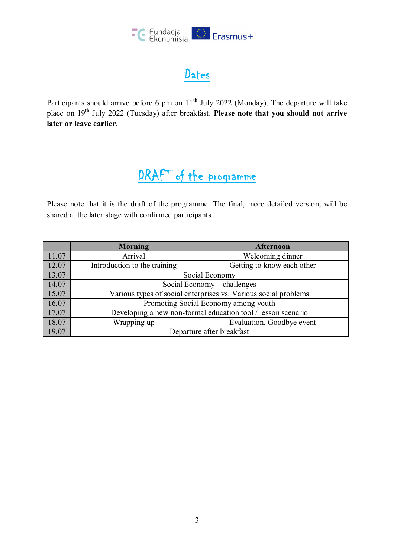

### Dates

Participants should arrive before 6 pm on  $11<sup>th</sup>$  July 2022 (Monday). The departure will take place on 19<sup>th</sup> July 2022 (Tuesday) after breakfast. **Please note that you should not arrive later or leave earlier**.

# DRAFT of the programme

Please note that it is the draft of the programme. The final, more detailed version, will be shared at the later stage with confirmed participants.

|       | <b>Morning</b>                                                  | <b>Afternoon</b>           |
|-------|-----------------------------------------------------------------|----------------------------|
| 11.07 | Arrival                                                         | Welcoming dinner           |
| 12.07 | Introduction to the training                                    | Getting to know each other |
| 13.07 | Social Economy                                                  |                            |
| 14.07 | Social Economy – challenges                                     |                            |
| 15.07 | Various types of social enterprises vs. Various social problems |                            |
| 16.07 | Promoting Social Economy among youth                            |                            |
| 17.07 | Developing a new non-formal education tool / lesson scenario    |                            |
| 18.07 | Wrapping up                                                     | Evaluation. Goodbye event  |
| 19.07 | Departure after breakfast                                       |                            |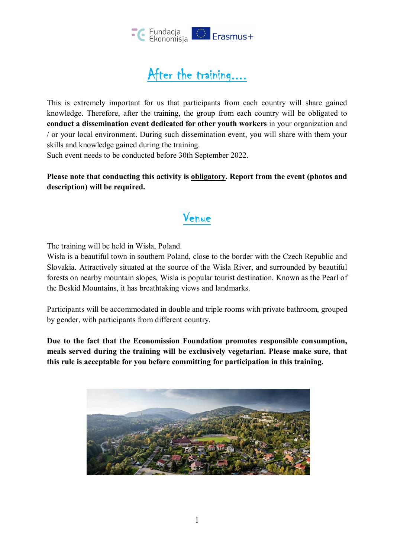

## After the training....

This is extremely important for us that participants from each country will share gained knowledge. Therefore, after the training, the group from each country will be obligated to **conduct a dissemination event dedicated for other youth workers** in your organization and / or your local environment. During such dissemination event, you will share with them your skills and knowledge gained during the training.

Such event needs to be conducted before 30th September 2022.

Please note that conducting this activity is **obligatory**. Report from the event (photos and **description) will be required.** 

### Venue

The training will be held in Wisła, Poland.

Wisła is a beautiful town in southern Poland, close to the border with the Czech Republic and Slovakia. Attractively situated at the source of the Wisla River, and surrounded by beautiful forests on nearby mountain slopes, Wisla is popular tourist destination. Known as the Pearl of the Beskid Mountains, it has breathtaking views and landmarks.

Participants will be accommodated in double and triple rooms with private bathroom, grouped by gender, with participants from different country.

**Due to the fact that the Economission Foundation promotes responsible consumption, meals served during the training will be exclusively vegetarian. Please make sure, that this rule is acceptable for you before committing for participation in this training.** 

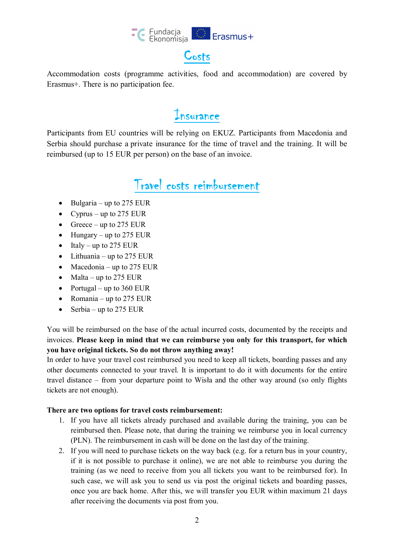

Accommodation costs (programme activities, food and accommodation) are covered by Erasmus+. There is no participation fee.

### Insurance

Participants from EU countries will be relying on EKUZ. Participants from Macedonia and Serbia should purchase a private insurance for the time of travel and the training. It will be reimbursed (up to 15 EUR per person) on the base of an invoice.

## Travel costs reimbursement

- $\bullet$  Bulgaria up to 275 EUR
- Cyprus up to 275 EUR
- Greece up to 275 EUR
- $\bullet$  Hungary up to 275 EUR
- $\bullet$  Italy up to 275 EUR
- $\bullet$  Lithuania up to 275 EUR
- $\bullet$  Macedonia up to 275 EUR
- Malta up to 275 EUR
- Portugal up to  $360$  EUR
- Romania up to 275 EUR
- Serbia up to 275 EUR

You will be reimbursed on the base of the actual incurred costs, documented by the receipts and invoices. **Please keep in mind that we can reimburse you only for this transport, for which you have original tickets. So do not throw anything away!** 

In order to have your travel cost reimbursed you need to keep all tickets, boarding passes and any other documents connected to your travel. It is important to do it with documents for the entire travel distance – from your departure point to Wisła and the other way around (so only flights tickets are not enough).

#### **There are two options for travel costs reimbursement:**

- 1. If you have all tickets already purchased and available during the training, you can be reimbursed then. Please note, that during the training we reimburse you in local currency (PLN). The reimbursement in cash will be done on the last day of the training.
- 2. If you will need to purchase tickets on the way back (e.g. for a return bus in your country, if it is not possible to purchase it online), we are not able to reimburse you during the training (as we need to receive from you all tickets you want to be reimbursed for). In such case, we will ask you to send us via post the original tickets and boarding passes, once you are back home. After this, we will transfer you EUR within maximum 21 days after receiving the documents via post from you.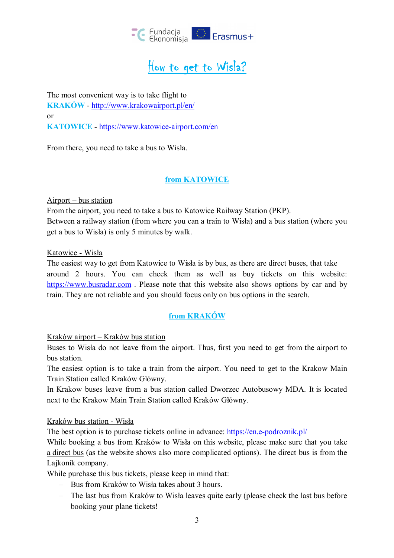

# How to get to Wisla?

The most convenient way is to take flight to **KRAKÓW** - http://www.krakowairport.pl/en/ or **KATOWICE** - https://www.katowice-airport.com/en

From there, you need to take a bus to Wisła.

#### **from KATOWICE**

Airport – bus station

From the airport, you need to take a bus to Katowice Railway Station (PKP). Between a railway station (from where you can a train to Wisła) and a bus station (where you get a bus to Wisła) is only 5 minutes by walk.

Katowice - Wisła

The easiest way to get from Katowice to Wisła is by bus, as there are direct buses, that take around 2 hours. You can check them as well as buy tickets on this website: https://www.busradar.com . Please note that this website also shows options by car and by train. They are not reliable and you should focus only on bus options in the search.

#### **from KRAKÓW**

Kraków airport – Kraków bus station

Buses to Wisła do not leave from the airport. Thus, first you need to get from the airport to bus station.

The easiest option is to take a train from the airport. You need to get to the Krakow Main Train Station called Kraków Główny.

In Krakow buses leave from a bus station called Dworzec Autobusowy MDA. It is located next to the Krakow Main Train Station called Kraków Główny.

Kraków bus station - Wisła

The best option is to purchase tickets online in advance: https://en.e-podroznik.pl/

While booking a bus from Kraków to Wisła on this website, please make sure that you take a direct bus (as the website shows also more complicated options). The direct bus is from the Lajkonik company.

While purchase this bus tickets, please keep in mind that:

- Bus from Kraków to Wisła takes about 3 hours.
- The last bus from Kraków to Wisła leaves quite early (please check the last bus before booking your plane tickets!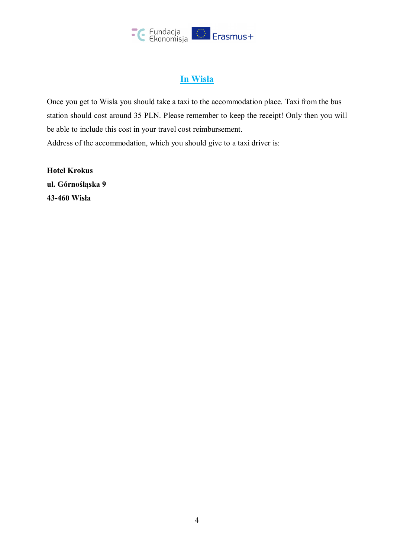

#### **In Wisła**

Once you get to Wisla you should take a taxi to the accommodation place. Taxi from the bus station should cost around 35 PLN. Please remember to keep the receipt! Only then you will be able to include this cost in your travel cost reimbursement. Address of the accommodation, which you should give to a taxi driver is:

**Hotel Krokus ul. Górnośląska 9 43-460 Wisła**